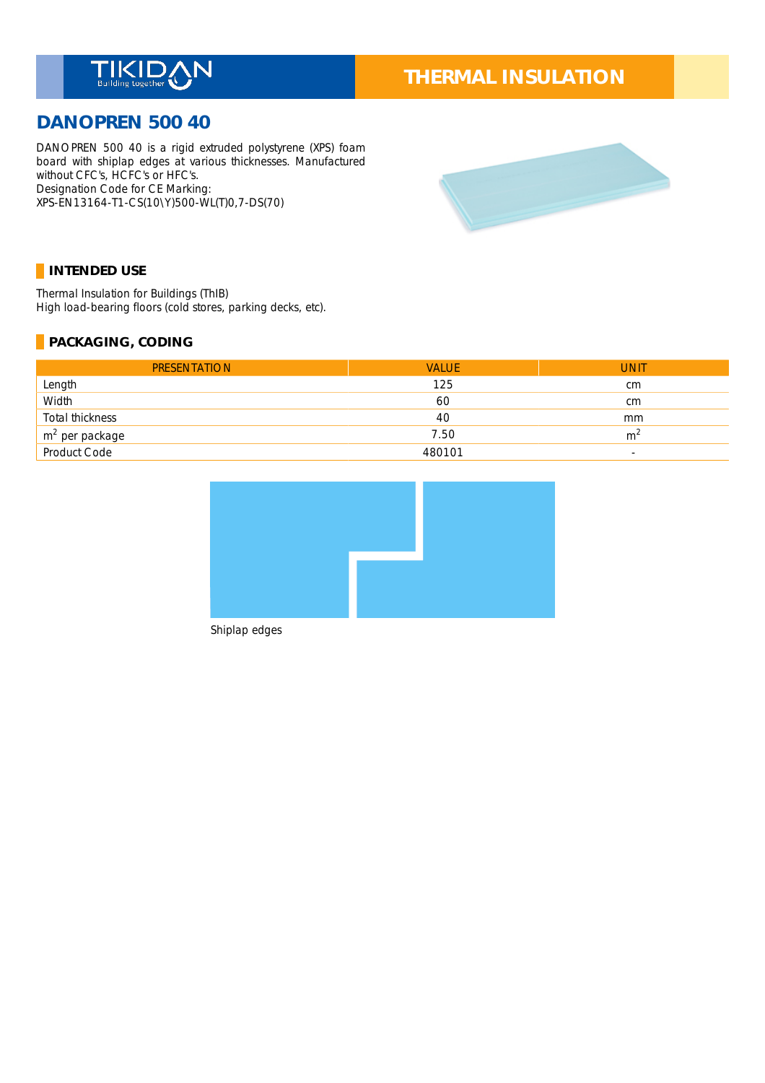

# **THERMAL INSULATION**

## **DANOPREN 500 40**

DANOPREN 500 40 is a rigid extruded polystyrene (XPS) foam board with shiplap edges at various thicknesses. Manufactured without CFC's, HCFC's or HFC's. Designation Code for CE Marking: \_ XPS-EN13164-T1-CS(10\Y)500-WL(T)0,7-DS(70)



## **INTENDED USE**

Thermal Insulation for Buildings (ThIB) \_ High load-bearing floors (cold stores, parking decks, etc).

## **PACKAGING, CODING**

| <b>PRESENTATION</b>         | <b>VALUE</b> | <b>UNIT</b>              |
|-----------------------------|--------------|--------------------------|
| Length                      | 125          | cm                       |
| Width                       | 60           | cm                       |
| Total thickness             | 40           | mm                       |
| $\frac{m^2}{2}$ per package | 7.50         | m <sup>2</sup>           |
|                             | 480101       | $\overline{\phantom{a}}$ |



Shiplap edges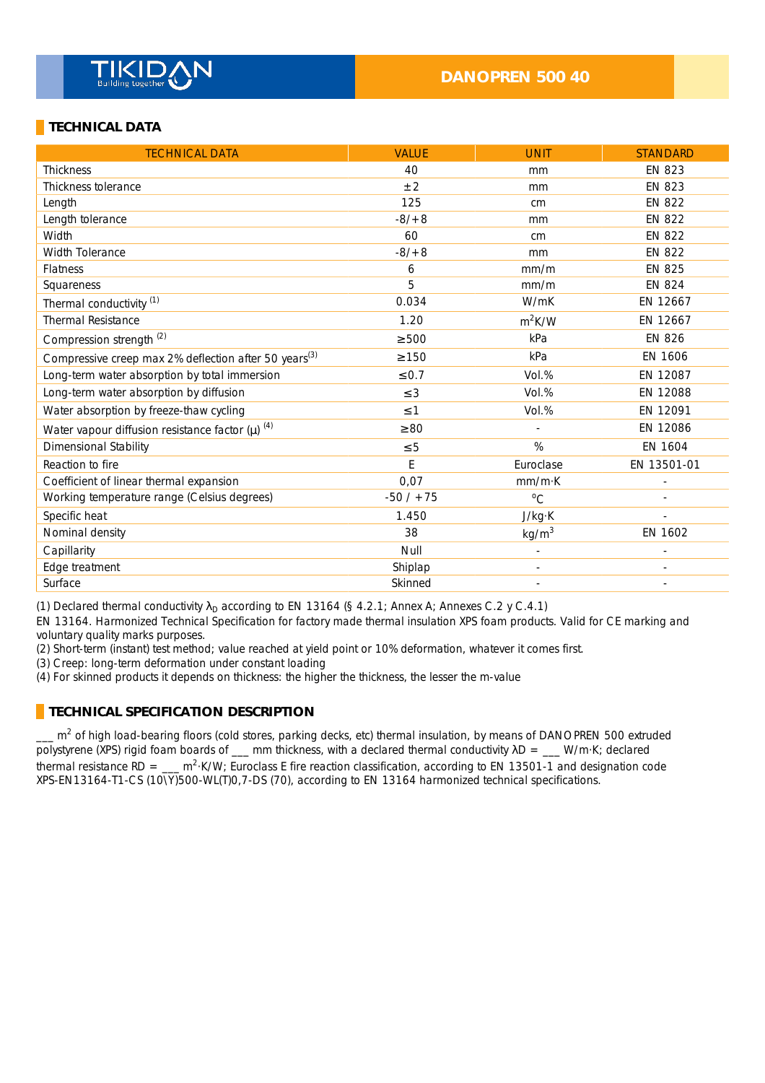## **TECHNICAL DATA**

| <b>TECHNICAL DATA</b>                                             | <b>VALUE</b> | <b>UNIT</b>              | <b>STANDARD</b>          |
|-------------------------------------------------------------------|--------------|--------------------------|--------------------------|
| <b>Thickness</b>                                                  | 40           | mm                       | <b>EN 823</b>            |
| Thickness tolerance                                               | $\pm 2$      | mm                       | <b>EN 823</b>            |
| Length                                                            | 125          | cm                       | <b>EN 822</b>            |
| Length tolerance                                                  | $-8/ + 8$    | mm                       | <b>EN 822</b>            |
| Width                                                             | 60           | cm                       | <b>EN 822</b>            |
| <b>Width Tolerance</b>                                            | $-8/ + 8$    | mm                       | <b>EN 822</b>            |
| <b>Flatness</b>                                                   | 6            | mm/m                     | <b>EN 825</b>            |
| Squareness                                                        | 5            | mm/m                     | <b>EN 824</b>            |
| Thermal conductivity <sup>(1)</sup>                               | 0.034        | W/mK                     | EN 12667                 |
| <b>Thermal Resistance</b>                                         | 1.20         | $m^2K/W$                 | EN 12667                 |
| Compression strength <sup>(2)</sup>                               | $\geq 500$   | kPa                      | <b>EN 826</b>            |
| Compressive creep max 2% deflection after 50 years <sup>(3)</sup> | $\geq 150$   | kPa                      | EN 1606                  |
| Long-term water absorption by total immersion                     | $\leq 0.7$   | Vol.%                    | EN 12087                 |
| Long-term water absorption by diffusion                           | $\leq$ 3     | Vol.%                    | EN 12088                 |
| Water absorption by freeze-thaw cycling                           | $\leq$ 1     | Vol.%                    | EN 12091                 |
| Water vapour diffusion resistance factor $(\mu)$ <sup>(4)</sup>   | $\geq 80$    |                          | EN 12086                 |
| <b>Dimensional Stability</b>                                      | $\leq 5$     | %                        | EN 1604                  |
| Reaction to fire                                                  | E            | Euroclase                | EN 13501-01              |
| Coefficient of linear thermal expansion                           | 0,07         | mm/mK                    |                          |
| Working temperature range (Celsius degrees)                       | $-50/ + 75$  | $\rm ^{0}C$              |                          |
| Specific heat                                                     | 1.450        | J/kg·K                   |                          |
| Nominal density                                                   | 38           | kg/m <sup>3</sup>        | EN 1602                  |
| Capillarity                                                       | Null         |                          |                          |
| Edge treatment                                                    | Shiplap      |                          |                          |
| Surface                                                           | Skinned      | $\overline{\phantom{a}}$ | $\overline{\phantom{a}}$ |

(1) Declared thermal conductivity  $\lambda_D$  according to EN 13164 (§ 4.2.1; Annex A; Annexes C.2 y C.4.1)

EN 13164. Harmonized Technical Specification for factory made thermal insulation XPS foam products. Valid for CE marking and voluntary quality marks purposes.

(2) Short-term (instant) test method; value reached at yield point or 10% deformation, whatever it comes first.

(3) Creep: long-term deformation under constant loading \_

(4) For skinned products it depends on thickness: the higher the thickness, the lesser the m-value

## **TECHNICAL SPECIFICATION DESCRIPTION**

 $\_\_$  m<sup>2</sup> of high load-bearing floors (cold stores, parking decks, etc) thermal insulation, by means of DANOPREN 500 extruded polystyrene (XPS) rigid foam boards of  $\_\_\_\$ mm thickness, with a declared thermal conductivity  $\lambda D = \_\_\_\_\$ W/m·K; declared thermal resistance RD =  $\mu$ <sup>2</sup>·K/W; Euroclass E fire reaction classification, according to EN 13501-1 and designation code XPS-EN13164-T1-CS (10\Y)500-WL(T)0,7-DS (70), according to EN 13164 harmonized technical specifications.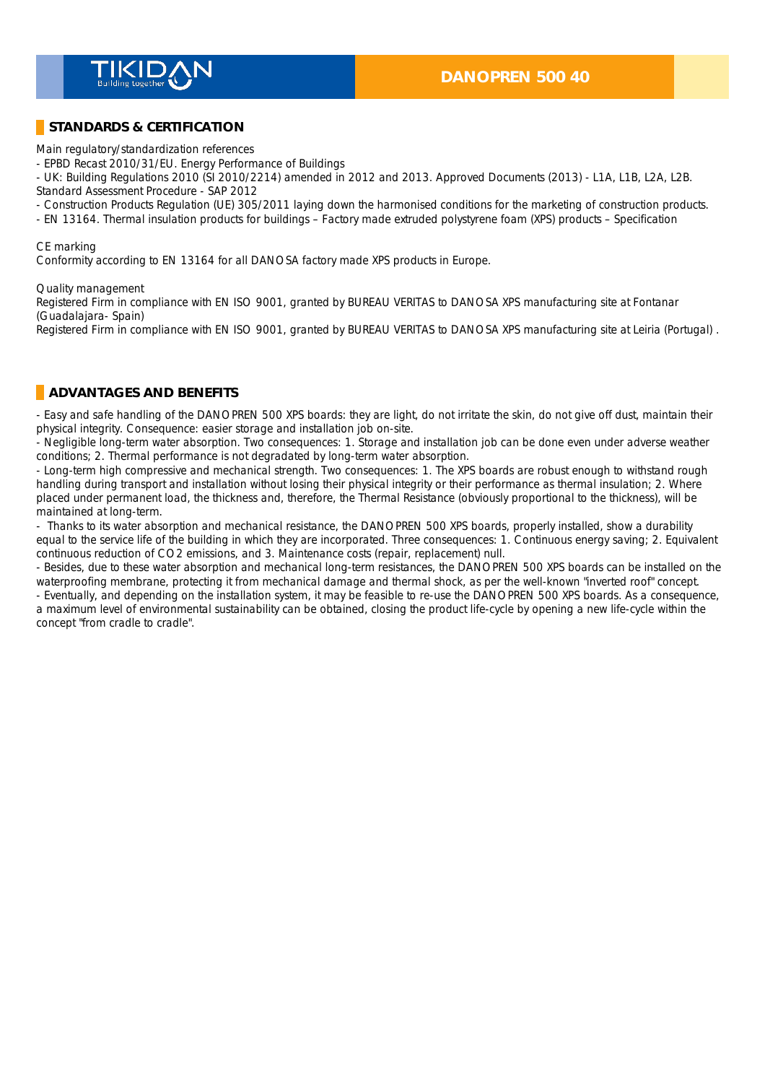

## **STANDARDS & CERTIFICATION**

Main regulatory/standardization references \_

- EPBD Recast 2010/31/EU. Energy Performance of Buildings \_

- UK: Building Regulations 2010 (SI 2010/2214) amended in 2012 and 2013. Approved Documents (2013) - L1A, L1B, L2A, L2B.

Standard Assessment Procedure - SAP 2012 \_

- Construction Products Regulation (UE) 305/2011 laying down the harmonised conditions for the marketing of construction products.

- EN 13164. Thermal insulation products for buildings – Factory made extruded polystyrene foam (XPS) products – Specification \_

#### CE marking

Conformity according to EN 13164 for all DANOSA factory made XPS products in Europe.

#### Quality management

Registered Firm in compliance with EN ISO 9001, granted by BUREAU VERITAS to DANOSA XPS manufacturing site at Fontanar (Guadalajara- Spain) \_

Registered Firm in compliance with EN ISO 9001, granted by BUREAU VERITAS to DANOSA XPS manufacturing site at Leiria (Portugal) .

### **ADVANTAGES AND BENEFITS**

- Easy and safe handling of the DANOPREN 500 XPS boards: they are light, do not irritate the skin, do not give off dust, maintain their physical integrity. Consequence: easier storage and installation job on-site. \_

- Negligible long-term water absorption. Two consequences: 1. Storage and installation job can be done even under adverse weather conditions; 2. Thermal performance is not degradated by long-term water absorption.

- Long-term high compressive and mechanical strength. Two consequences: 1. The XPS boards are robust enough to withstand rough handling during transport and installation without losing their physical integrity or their performance as thermal insulation; 2. Where placed under permanent load, the thickness and, therefore, the Thermal Resistance (obviously proportional to the thickness), will be maintained at long-term.

- Thanks to its water absorption and mechanical resistance, the DANOPREN 500 XPS boards, properly installed, show a durability equal to the service life of the building in which they are incorporated. Three consequences: 1. Continuous energy saving; 2. Equivalent continuous reduction of CO2 emissions, and 3. Maintenance costs (repair, replacement) null.

- Besides, due to these water absorption and mechanical long-term resistances, the DANOPREN 500 XPS boards can be installed on the waterproofing membrane, protecting it from mechanical damage and thermal shock, as per the well-known "inverted roof" concept.

- Eventually, and depending on the installation system, it may be feasible to re-use the DANOPREN 500 XPS boards. As a consequence, a maximum level of environmental sustainability can be obtained, closing the product life-cycle by opening a new life-cycle within the concept "from cradle to cradle".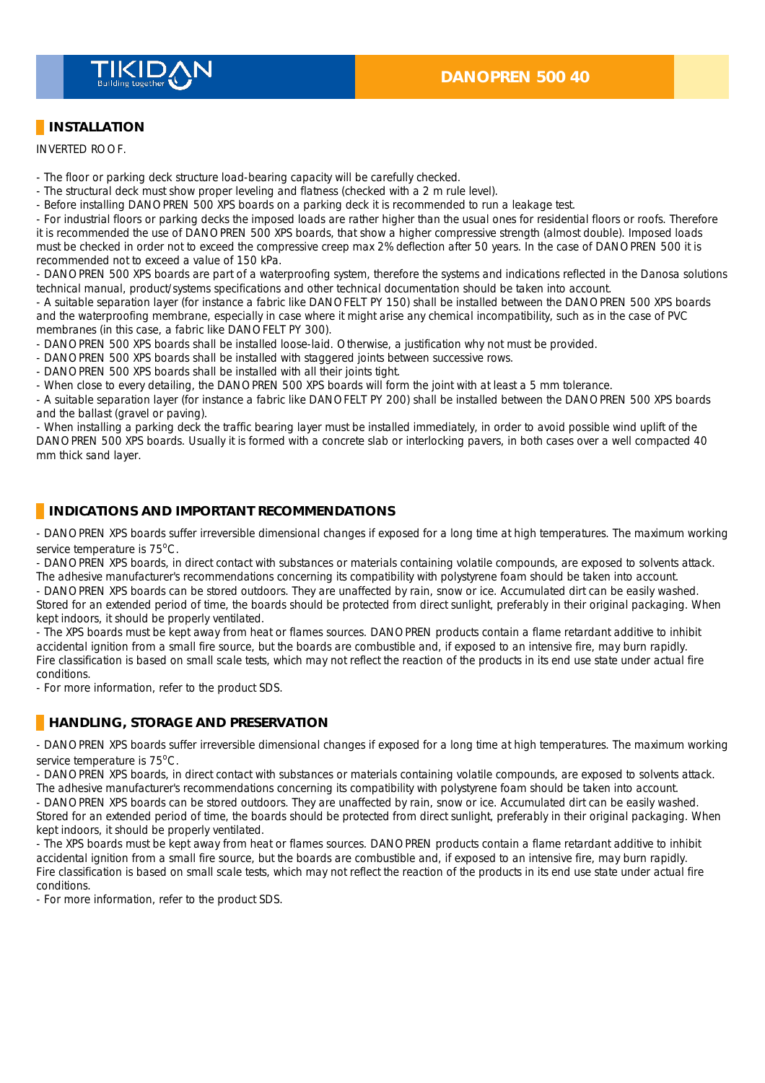

## **INSTALLATION**

INVERTED ROOF. \_

- The floor or parking deck structure load-bearing capacity will be carefully checked.
- The structural deck must show proper leveling and flatness (checked with a 2 m rule level).
- Before installing DANOPREN 500 XPS boards on a parking deck it is recommended to run a leakage test.

- For industrial floors or parking decks the imposed loads are rather higher than the usual ones for residential floors or roofs. Therefore it is recommended the use of DANOPREN 500 XPS boards, that show a higher compressive strength (almost double). Imposed loads must be checked in order not to exceed the compressive creep max 2% deflection after 50 years. In the case of DANOPREN 500 it is recommended not to exceed a value of 150 kPa.

- DANOPREN 500 XPS boards are part of a waterproofing system, therefore the systems and indications reflected in the Danosa solutions technical manual, product/systems specifications and other technical documentation should be taken into account.

- A suitable separation layer (for instance a fabric like DANOFELT PY 150) shall be installed between the DANOPREN 500 XPS boards and the waterproofing membrane, especially in case where it might arise any chemical incompatibility, such as in the case of PVC membranes (in this case, a fabric like DANOFELT PY 300).

- DANOPREN 500 XPS boards shall be installed loose-laid. Otherwise, a justification why not must be provided.
- DANOPREN 500 XPS boards shall be installed with staggered joints between successive rows.
- DANOPREN 500 XPS boards shall be installed with all their joints tight.

- When close to every detailing, the DANOPREN 500 XPS boards will form the joint with at least a 5 mm tolerance.

- A suitable separation layer (for instance a fabric like DANOFELT PY 200) shall be installed between the DANOPREN 500 XPS boards and the ballast (gravel or paving).

- When installing a parking deck the traffic bearing layer must be installed immediately, in order to avoid possible wind uplift of the DANOPREN 500 XPS boards. Usually it is formed with a concrete slab or interlocking pavers, in both cases over a well compacted 40 mm thick sand layer.

## **INDICATIONS AND IMPORTANT RECOMMENDATIONS**

- DANOPREN XPS boards suffer irreversible dimensional changes if exposed for a long time at high temperatures. The maximum working service temperature is  $75^{\circ}$ C.

- DANOPREN XPS boards, in direct contact with substances or materials containing volatile compounds, are exposed to solvents attack. The adhesive manufacturer's recommendations concerning its compatibility with polystyrene foam should be taken into account.

- DANOPREN XPS boards can be stored outdoors. They are unaffected by rain, snow or ice. Accumulated dirt can be easily washed. Stored for an extended period of time, the boards should be protected from direct sunlight, preferably in their original packaging. When kept indoors, it should be properly ventilated.

- The XPS boards must be kept away from heat or flames sources. DANOPREN products contain a flame retardant additive to inhibit accidental ignition from a small fire source, but the boards are combustible and, if exposed to an intensive fire, may burn rapidly. Fire classification is based on small scale tests, which may not reflect the reaction of the products in its end use state under actual fire conditions. \_

- For more information, refer to the product SDS. \_

## **HANDLING, STORAGE AND PRESERVATION**

- DANOPREN XPS boards suffer irreversible dimensional changes if exposed for a long time at high temperatures. The maximum working service temperature is 75°C.

- DANOPREN XPS boards, in direct contact with substances or materials containing volatile compounds, are exposed to solvents attack. The adhesive manufacturer's recommendations concerning its compatibility with polystyrene foam should be taken into account.

- DANOPREN XPS boards can be stored outdoors. They are unaffected by rain, snow or ice. Accumulated dirt can be easily washed.

Stored for an extended period of time, the boards should be protected from direct sunlight, preferably in their original packaging. When kept indoors, it should be properly ventilated.

- The XPS boards must be kept away from heat or flames sources. DANOPREN products contain a flame retardant additive to inhibit accidental ignition from a small fire source, but the boards are combustible and, if exposed to an intensive fire, may burn rapidly. Fire classification is based on small scale tests, which may not reflect the reaction of the products in its end use state under actual fire conditions.

- For more information, refer to the product SDS. \_